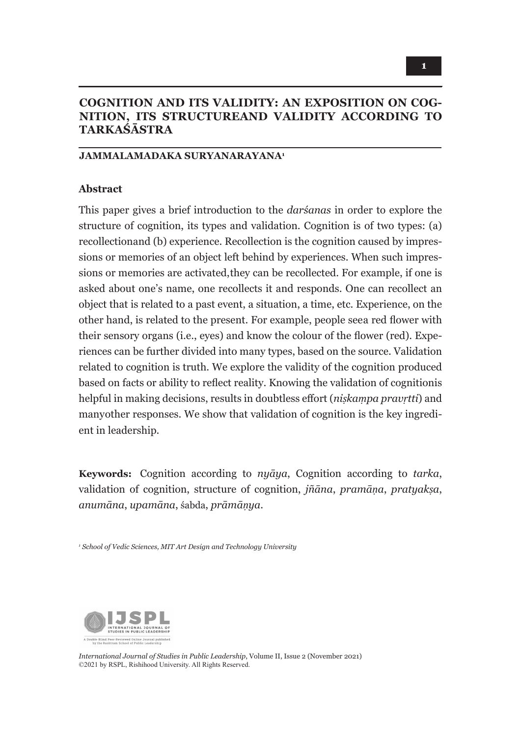# **COGNITION AND ITS VALIDITY: AN EXPOSITION ON COG-NITION, ITS STRUCTUREAND VALIDITY ACCORDING TO TARKAŚĀSTRA**

#### **JAMMALAMADAKA SURYANARAYANA1**

#### **Abstract**

This paper gives a brief introduction to the *darśanas* in order to explore the structure of cognition, its types and validation. Cognition is of two types: (a) recollection and (b) experience. Recollection is the cognition caused by impressions or memories of an object left behind by experiences. When such impressions or memories are activated, they can be recollected. For example, if one is asked about one's name, one recollects it and responds. One can recollect an object that is related to a past event, a situation, a time, etc. Experience, on the other hand, is related to the present. For example, people see a red flower with their sensory organs (i.e., eyes) and know the colour of the flower (red). Experiences can be further divided into many types, based on the source. Validation related to cognition is truth. We explore the validity of the cognition produced based on facts or ability to reflect reality. Knowing the validation of cognition is helpful in making decisions, results in doubtless effort (*niṣkaṃpa pravṛtti*) and many other responses. We show that validation of cognition is the key ingredient in leadership.

**Keywords:** Cognition according to *nyāya*, Cognition according to *tarka*, validation of cognition, structure of cognition, *jñāna*, *pramāṇa*, *pratyakṣa*, *anumāna*, *upamāna*, śabda, *prāmāṇya*.

*1 School of Vedic Sciences, MIT Art Design and Technology University*



*International Journal of Studies in Public Leadership*, Volume II, Issue 2 (November 2021) ©2021 by RSPL, Rishihood University. All Rights Reserved.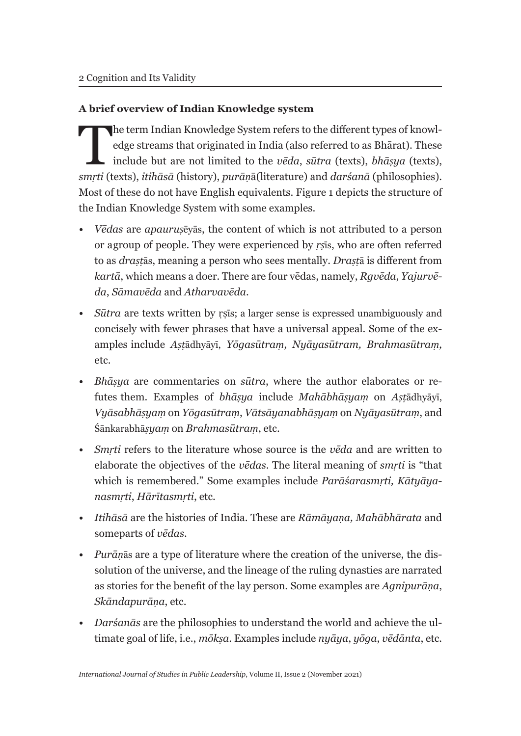### **A brief overview of Indian Knowledge system**

The term Indian Knowledge System refers to the different types of knowledge streams that originated in India (also referred to as Bhārat). These include but are not limited to the *vēda*, *sūtra* (texts), *bhāṣya* (texts), edge streams that originated in India (also referred to as Bhārat). These include but are not limited to the *vēda*, *sūtra* (texts), *bhāṣya* (texts), *smṛti* (texts), *itihāsā* (history), *purāṇ*ā(literature) and *darśanā* (philosophies). Most of these do not have English equivalents. Figure 1 depicts the structure of the Indian Knowledge System with some examples.

- *Vēdas* are *apauruṣ*ēyās, the content of which is not attributed to a person or a group of people. They were experienced by *ṛṣ*īs, who are often referred to as *draṣṭ*ās, meaning a person who sees mentally. *Draṣṭ*ā is different from *kartā*, which means a doer. There are four vēdas, namely, *Rgvēda*, *Yajurvēda*, *Sāmavēda* and *Atharvavēda*.
- *Sūtra* are texts written by rsīs; a larger sense is expressed unambiguously and concisely with fewer phrases that have a universal appeal. Some of the examples include *Aṣṭ*ādhyāyī, *Yōgasūtraṃ, Nyāyasūtram, Brahmasūtraṃ,*  etc.
- *Bhāṣya* are commentaries on *sūtra*, where the author elaborates or refutes them. Examples of *bhāṣya* include *Mahābhāṣyaṃ* on *Aṣṭ*ādhyāyī, *Vyāsabhāṣyaṃ* on *Yōgasūtraṃ*, *Vātsāyanabhāṣyaṃ* on *Nyāyasūtraṃ*, and Śānkarabhā*ṣyaṃ* on *Brahmasūtraṃ*, etc.
- *Smṛti* refers to the literature whose source is the *vēda* and are written to elaborate the objectives of the *vēdas*. The literal meaning of *smṛti* is "that which is remembered." Some examples include *Parāśarasmṛti, Kātyāyanasmṛti*, *Hārītasmṛti*, etc.
- *Itihāsā* are the histories of India. These are *Rāmāyaṇa, Mahābhārata* and some parts of *vēdas*.
- *Purāṇ*ās are a type of literature where the creation of the universe, the dissolution of the universe, and the lineage of the ruling dynasties are narrated as stories for the benefit of the lay person. Some examples are *Agnipurāṇa*, *Skāndapurāṇa*, etc.
- *Darśanās* are the philosophies to understand the world and achieve the ultimate goal of life, i.e., *mōkṣa*. Examples include *nyāya*, *yōga*, *vēdānta*, etc.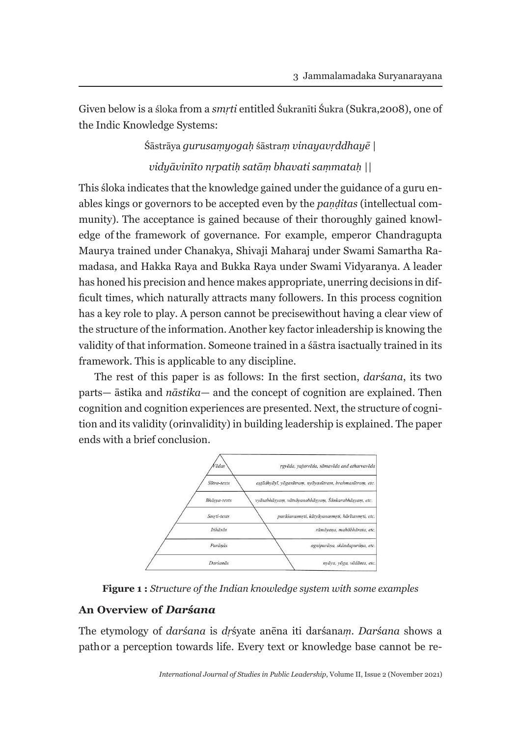Given below is a śloka from a *smṛti* entitled Śukranīti Śukra (Sukra,2008), one of the Indic Knowledge Systems:

# Śāstrāya *gurusaṃyogaḥ* śāstra*ṃ vinayavṛddhayē | vidyāvinīto nṛpatiḥ satāṃ bhavati saṃmataḥ ||*

This śloka indicates that the knowledge gained under the guidance of a guru enables kings or governors to be accepted even by the *paṇḍitas* (intellectual community). The acceptance is gained because of their thoroughly gained knowledge of the framework of governance. For example, emperor Chandragupta Maurya trained under Chanakya, Shivaji Maharaj under Swami Samartha Ramadasa*,* and Hakka Raya and Bukka Raya under Swami Vidyaranya. A leader has honed his precision and hence makes appropriate, unerring decisions in difficult times, which naturally attracts many followers. In this process cognition has a key role to play. A person cannot be precise without having a clear view of the structure of the information. Another key factor in leadership is knowing the validity of that information. Someone trained in a śāstra is actually trained in its framework. This is applicable to any discipline.

The rest of this paper is as follows: In the first section, *darśana*, its two parts— āstika and *nāstika—* and the concept of cognition are explained. Then cognition and cognition experiences are presented. Next, the structure of cognition and its validity (or invalidity) in building leadership is explained. The paper ends with a brief conclusion.



**Figure 1 :** *Structure of the Indian knowledge system with some examples*

#### **An Overview of** *Darśana*

The etymology of *darśana* is *dṛ*śyate anēna iti darśana*ṃ*. *Darśana* shows a path or a perception towards life. Every text or knowledge base cannot be re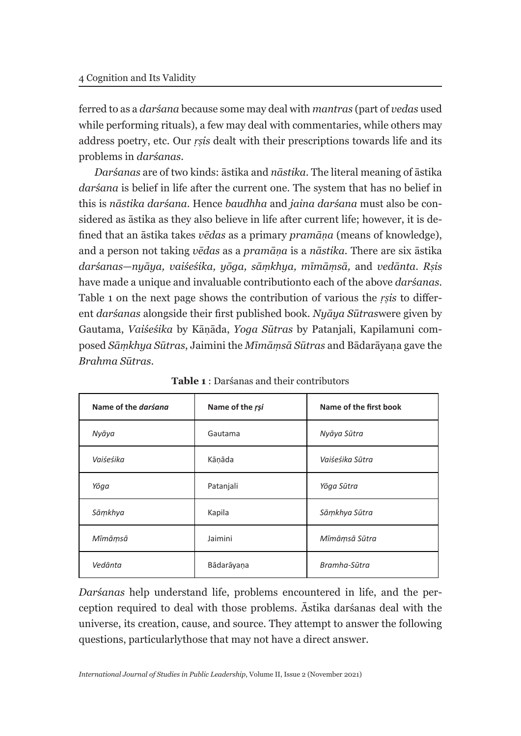ferred to as a *darśana* because some may deal with *mantras* (part of *vedas* used while performing rituals), a few may deal with commentaries, while others may address poetry, etc. Our *ṛṣis* dealt with their prescriptions towards life and its problems in *darśanas*.

*Darśanas* are of two kinds: āstika and *nāstika*. The literal meaning of āstika *darśana* is belief in life after the current one. The system that has no belief in this is *nāstika darśana*. Hence *baudhha* and *jaina darśana* must also be considered as āstika as they also believe in life after current life; however, it is defined that an āstika takes *vēdas* as a primary *pramāṇa* (means of knowledge), and a person not taking *vēdas* as a *pramāṇa* is a *nāstika.* There are six āstika *darśanas*—*nyāya, vaiśeśika, yōga, sāṃkhya, mīmāṃsā,* and *vedānta*. *Rṣis*  have made a unique and invaluable contribution to each of the above *darśanas*. Table 1 on the next page shows the contribution of various the *ṛṣis* to different *darśanas* alongside their first published book. *Nyāya Sūtras* were given by Gautama, *Vaiśeśika* by Kāṇāda, *Yoga Sūtras* by Patanjali, Kapilamuni composed *Sāṃkhya Sūtras*, Jaimini the *Mīmāṃsā Sūtras* and Bādarāyaṇa gave the *Brahma Sūtras*.

| Name of the <i>darsang</i> | Name of the rsi | Name of the first book |
|----------------------------|-----------------|------------------------|
| Nyāya                      | Gautama         | Nyāya Sūtra            |
| Vaiśeśika                  | Kāņāda          | Vaiśeśika Sūtra        |
| Yōga                       | Patanjali       | Yōga Sūtra             |
| Sāmkhya                    | Kapila          | Sāmkhya Sūtra          |
| Mīmāṃsā                    | Jaimini         | Mīmāṃsā Sūtra          |
| Vedānta                    | Bādarāyaņa      | Bramha-Sūtra           |

**Table 1** : Darśanas and their contributors

*Darśanas* help understand life, problems encountered in life, and the perception required to deal with those problems. Āstika darśanas deal with the universe, its creation, cause, and source. They attempt to answer the following questions, particularly those that may not have a direct answer.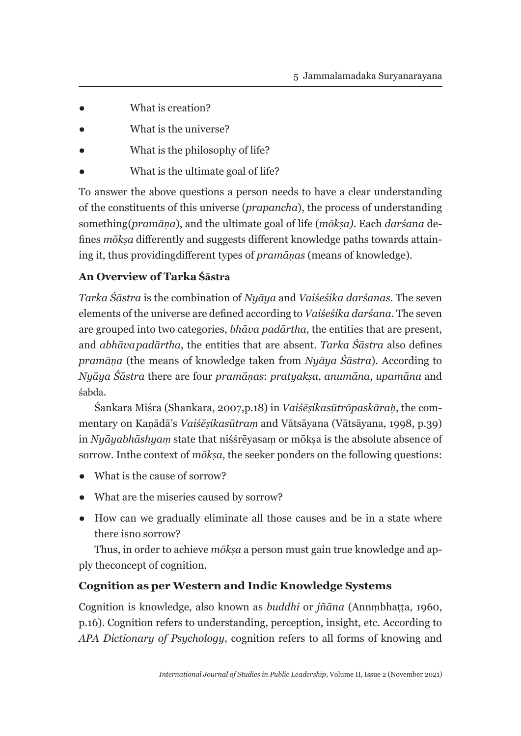- What is creation?
- What is the universe?
- What is the philosophy of life?
- What is the ultimate goal of life?

To answer the above questions a person needs to have a clear understanding of the constituents of this universe (*prapancha*), the process of understanding something (*pramāṇa*), and the ultimate goal of life (*mōkṣa)*. Each *darśana* defines *mōkṣa* differently and suggests different knowledge paths towards attaining it, thus providing different types of *pramāṇas* (means of knowledge).

# **An Overview of Tarka Śāstra**

*Tarka Śāstra* is the combination of *Nyāya* and *Vaiśeśika darśanas*. The seven elements of the universe are defined according to *Vaiśeśika darśana*. The seven are grouped into two categories, *bhāva padārtha*, the entities that are present, and *abhāva padārtha*, the entities that are absent. *Tarka Śāstra* also defines *pramāṇa* (the means of knowledge taken from *Nyāya Śāstra*). According to *Nyāya Śāstra* there are four *pramāṇas*: *pratyakṣa*, *anumāna*, *upamāna* and śabda.

Śankara Miśra (Shankara, 2007,p.18) in *Vaiśēṣikasūtrōpaskāraḥ*, the commentary on Kaṇādā's *Vaiśēṣikasūtraṃ* and Vātsāyana (Vātsāyana, 1998, p.39) in *Nyāyabhāshyam* state that niśśrēyasam or mōksa is the absolute absence of sorrow. In the context of *moksa*, the seeker ponders on the following questions:

- What is the cause of sorrow?
- What are the miseries caused by sorrow?
- How can we gradually eliminate all those causes and be in a state where there is no sorrow?

Thus, in order to achieve *mōkṣa* a person must gain true knowledge and apply the concept of cognition.

### **Cognition as per Western and Indic Knowledge Systems**

Cognition is knowledge, also known as *buddhi* or *jñāna* (Annṃbhaṭṭa, 1960, p.16). Cognition refers to understanding, perception, insight, etc. According to *APA Dictionary of Psychology*, cognition refers to all forms of knowing and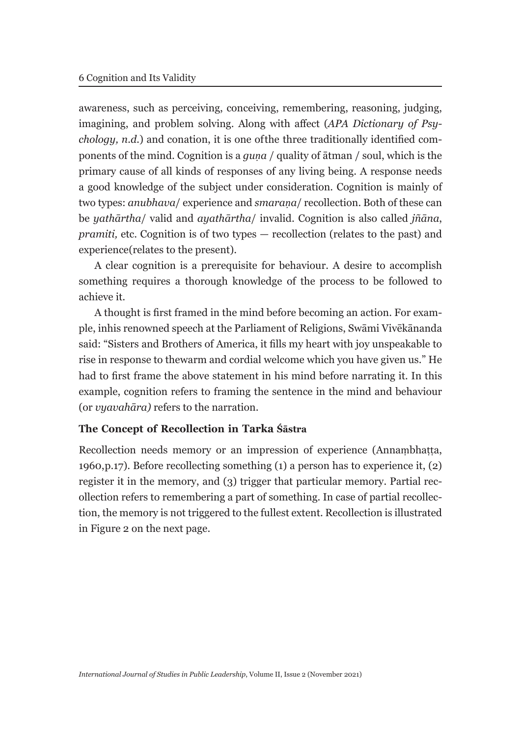awareness, such as perceiving, conceiving, remembering, reasoning, judging, imagining, and problem solving. Along with affect (*APA Dictionary of Psychology, n.d.*) and conation, it is one of the three traditionally identified components of the mind. Cognition is a *guṇa* / quality of ātman / soul, which is the primary cause of all kinds of responses of any living being. A response needs a good knowledge of the subject under consideration. Cognition is mainly of two types: *anubhava*/ experience and *smaraṇa*/ recollection. Both of these can be *yathārtha*/ valid and *ayathārtha*/ invalid. Cognition is also called *jñāna*, *pramiti,* etc. Cognition is of two types — recollection (relates to the past) and experience (relates to the present).

A clear cognition is a prerequisite for behaviour. A desire to accomplish something requires a thorough knowledge of the process to be followed to achieve it.

A thought is first framed in the mind before becoming an action. For example, in his renowned speech at the Parliament of Religions, Swāmi Vivēkānanda said: "Sisters and Brothers of America, it fills my heart with joy unspeakable to rise in response to the warm and cordial welcome which you have given us." He had to first frame the above statement in his mind before narrating it. In this example, cognition refers to framing the sentence in the mind and behaviour (or *vyavahāra)* refers to the narration.

#### **The Concept of Recollection in Tarka Śāstra**

Recollection needs memory or an impression of experience (Annaṃbhaṭṭa, 1960, p.17). Before recollecting something (1) a person has to experience it, (2) register it in the memory, and (3) trigger that particular memory. Partial recollection refers to remembering a part of something. In case of partial recollection, the memory is not triggered to the fullest extent. Recollection is illustrated in Figure 2 on the next page.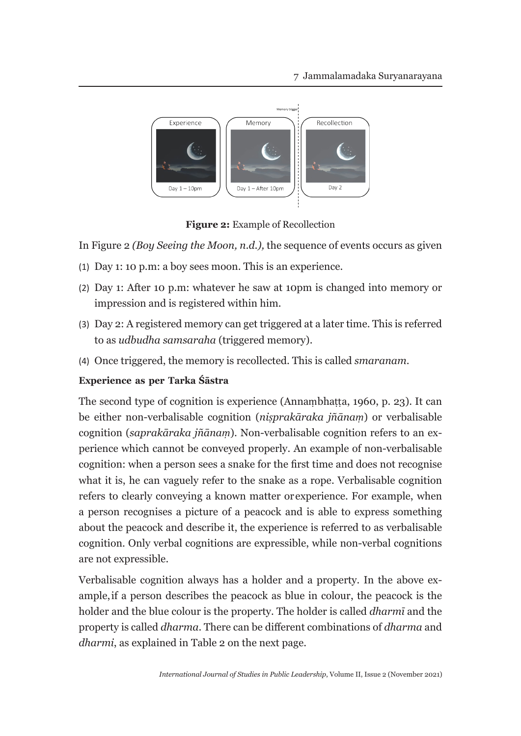

**Figure 2:** Example of Recollection

In Figure 2 *(Boy Seeing the Moon, n.d.),* the sequence of events occurs as given

- (1) Day 1: 10 p.m: a boy sees moon. This is an experience.
- (2) Day 1: After 10 p.m: whatever he saw at 10pm is changed into memory or impression and is registered within him.
- (3) Day 2: A registered memory can get triggered at a later time. This is referred to as *udbudha samsaraha* (triggered memory).
- (4) Once triggered, the memory is recollected. This is called *smaranam*.

### **Experience as per Tarka Śāstra**

The second type of cognition is experience (Annaṃbhaṭṭa, 1960, p. 23). It can be either non-verbalisable cognition (*niṣprakāraka jñānaṃ*) or verbalisable cognition (*saprakāraka jñānaṃ*). Non-verbalisable cognition refers to an experience which cannot be conveyed properly. An example of non-verbalisable cognition: when a person sees a snake for the first time and does not recognise what it is, he can vaguely refer to the snake as a rope. Verbalisable cognition refers to clearly conveying a known matter or experience. For example, when a person recognises a picture of a peacock and is able to express something about the peacock and describe it, the experience is referred to as verbalisable cognition. Only verbal cognitions are expressible, while non-verbal cognitions are not expressible.

Verbalisable cognition always has a holder and a property. In the above example, if a person describes the peacock as blue in colour, the peacock is the holder and the blue colour is the property. The holder is called *dharmī* and the property is called *dharma*. There can be different combinations of *dharma* and *dharmi*, as explained in Table 2 on the next page.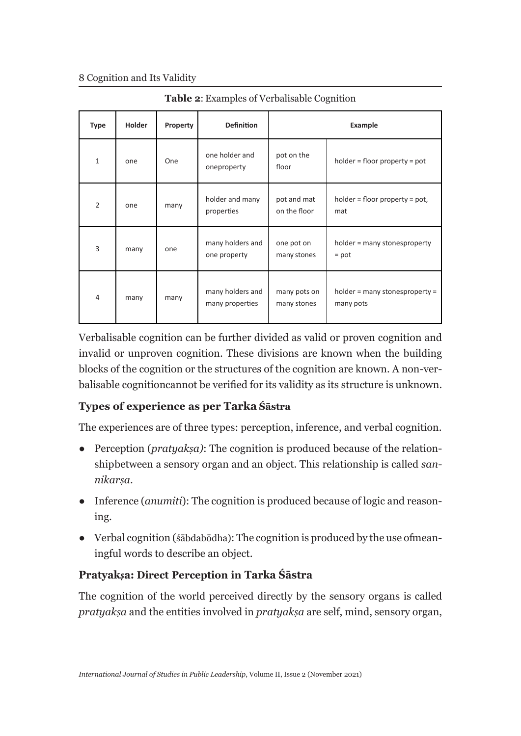#### 8 Cognition and Its Validity

| <b>Type</b>    | <b>Holder</b> | Property | <b>Definition</b>                   | Example                     |                                             |
|----------------|---------------|----------|-------------------------------------|-----------------------------|---------------------------------------------|
| $\mathbf{1}$   | one           | One      | one holder and<br>oneproperty       | pot on the<br>floor         | $holder = floor property = pot$             |
| $\overline{2}$ | one           | many     | holder and many<br>properties       | pot and mat<br>on the floor | $holder = floor property = pot,$<br>mat     |
| 3              | many          | one      | many holders and<br>one property    | one pot on<br>many stones   | holder = many stonesproperty<br>$=$ pot     |
| 4              | many          | many     | many holders and<br>many properties | many pots on<br>many stones | holder = many stonesproperty =<br>many pots |

**Table 2**: Examples of Verbalisable Cognition

Verbalisable cognition can be further divided as valid or proven cognition and invalid or unproven cognition. These divisions are known when the building blocks of the cognition or the structures of the cognition are known. A non-verbalisable cognition cannot be verified for its validity as its structure is unknown.

### **Types of experience as per Tarka Śāstra**

The experiences are of three types: perception, inference, and verbal cognition.

- Perception (*pratyakṣa)*: The cognition is produced because of the relationship between a sensory organ and an object. This relationship is called *sannikarṣa*.
- Inference (*anumiti*): The cognition is produced because of logic and reasoning.
- $\bullet$  Verbal cognition (śābdabōdha): The cognition is produced by the use of meaningful words to describe an object.

# **Pratyak***ṣ***a: Direct Perception in Tarka Śāstra**

The cognition of the world perceived directly by the sensory organs is called *pratyakṣa* and the entities involved in *pratyakṣa* are self, mind, sensory organ,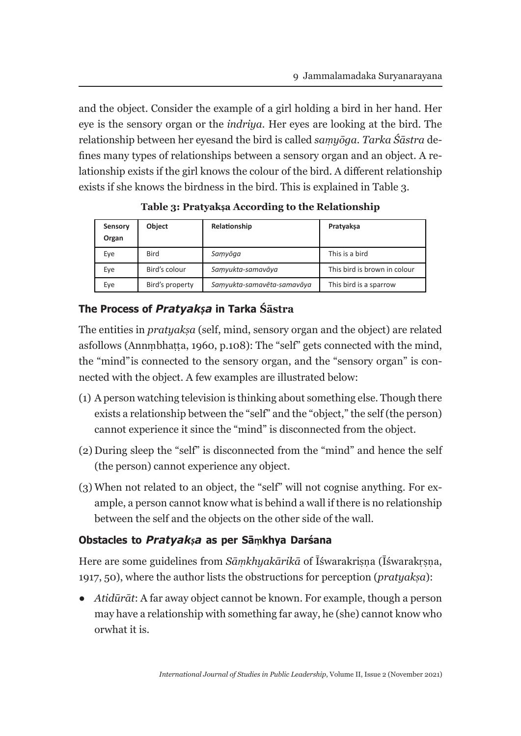and the object. Consider the example of a girl holding a bird in her hand. Her eye is the sensory organ or the *indriya.* Her eyes are looking at the bird. The relationship between her eyes and the bird is called *saṃyōga. Tarka Śāstra* defines many types of relationships between a sensory organ and an object. A relationship exists if the girl knows the colour of the bird. A different relationship exists if she knows the birdness in the bird. This is explained in Table 3.

| Sensory<br>Organ | <b>Object</b>   | Relationship               | Pratyakşa                    |
|------------------|-----------------|----------------------------|------------------------------|
| Eye              | <b>Bird</b>     | Samyōga                    | This is a bird               |
| Eye              | Bird's colour   | Samyukta-samavāya          | This bird is brown in colour |
| Eye              | Bird's property | Samyukta-samavēta-samavāya | This bird is a sparrow       |

**Table 3: Pratyakṣa According to the Relationship**

# **The Process of** *Pratyakṣa* **in Tarka Śāstra**

The entities in *pratyakṣa* (self, mind, sensory organ and the object) are related as follows (Annmbhatta, 1960, p.108): The "self" gets connected with the mind, the "mind" is connected to the sensory organ, and the "sensory organ" is connected with the object. A few examples are illustrated below:

- (1) A person watching television is thinking about something else. Though there exists a relationship between the "self" and the "object," the self (the person) cannot experience it since the "mind" is disconnected from the object.
- (2) During sleep the "self" is disconnected from the "mind" and hence the self (the person) cannot experience any object.
- (3) When not related to an object, the "self" will not cognise anything. For example, a person cannot know what is behind a wall if there is no relationship between the self and the objects on the other side of the wall.

# **Obstacles to** *Pratyakṣa* **as per Sāṃkhya Darśana**

Here are some guidelines from *Sāmkhyakārikā* of Īśwarakrisna (Īśwarakrsna, 1917, 50), where the author lists the obstructions for perception (*pratyakṣa*):

● *Atidūrāt*: A far away object cannot be known. For example, though a person may have a relationship with something far away, he (she) cannot know who or what it is.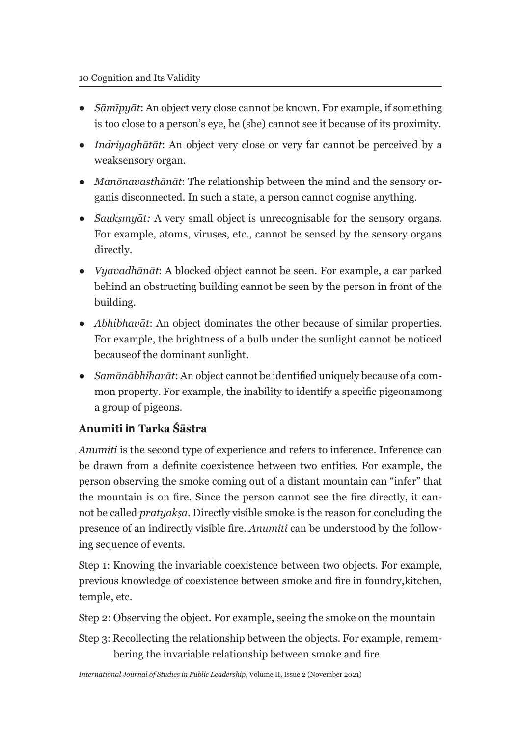- *Sāmīpyāt*: An object very close cannot be known. For example, if something is too close to a person's eye, he (she) cannot see it because of its proximity.
- *Indriyaghātāt*: An object very close or very far cannot be perceived by a weak sensory organ.
- *Manōnavasthānāt*: The relationship between the mind and the sensory organis disconnected. In such a state, a person cannot cognise anything.
- *Saukṣmyāt:* A very small object is unrecognisable for the sensory organs. For example, atoms, viruses, etc., cannot be sensed by the sensory organs directly.
- *Vyavadhānāt*: A blocked object cannot be seen. For example, a car parked behind an obstructing building cannot be seen by the person in front of the building.
- *Abhibhavāt*: An object dominates the other because of similar properties. For example, the brightness of a bulb under the sunlight cannot be noticed because of the dominant sunlight.
- *Samānābhiharāt*: An object cannot be identified uniquely because of a common property. For example, the inability to identify a specific pigeonamong a group of pigeons.

# **Anumiti in Tarka Śāstra**

*Anumiti* is the second type of experience and refers to inference. Inference can be drawn from a definite coexistence between two entities. For example, the person observing the smoke coming out of a distant mountain can "infer" that the mountain is on fire. Since the person cannot see the fire directly, it cannot be called *pratyakṣa*. Directly visible smoke is the reason for concluding the presence of an indirectly visible fire. *Anumiti* can be understood by the following sequence of events.

Step 1: Knowing the invariable coexistence between two objects. For example, previous knowledge of coexistence between smoke and fire in foundry, kitchen, temple, etc.

Step 2: Observing the object. For example, seeing the smoke on the mountain

Step 3: Recollecting the relationship between the objects. For example, remembering the invariable relationship between smoke and fire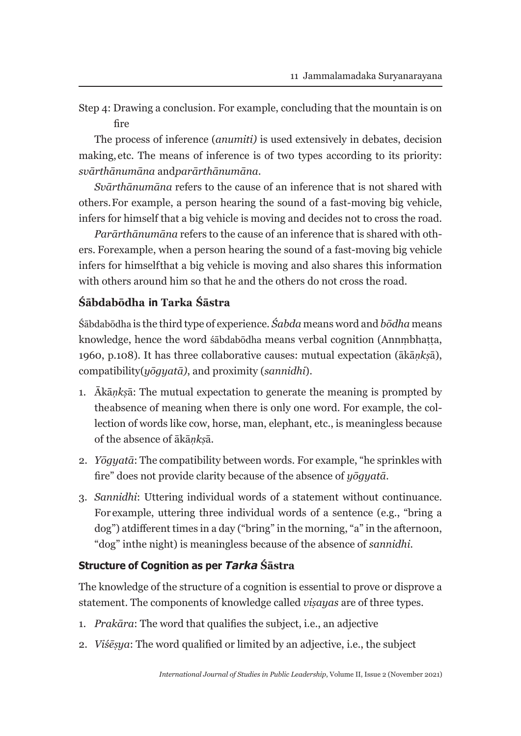Step 4: Drawing a conclusion. For example, concluding that the mountain is on fire

The process of inference (*anumiti)* is used extensively in debates, decision making, etc. The means of inference is of two types according to its priority: *svārthānumāna* and *parārthānumāna*.

*Svārthānumāna* refers to the cause of an inference that is not shared with others. For example, a person hearing the sound of a fast-moving big vehicle, infers for himself that a big vehicle is moving and decides not to cross the road.

*Parārthānumāna* refers to the cause of an inference that is shared with others. For example, when a person hearing the sound of a fast-moving big vehicle infers for himself that a big vehicle is moving and also shares this information with others around him so that he and the others do not cross the road.

# **Śābdabōdha in Tarka Śāstra**

Śābdabōdha is the third type of experience*. Śabda* means word and *bōdha* means knowledge, hence the word śābdabōdha means verbal cognition (Annmbhatta, 1960, p.108). It has three collaborative causes: mutual expectation (ākā*ṇkṣ*ā), compatibility (*yōgyatā)*, and proximity (*sannidhi*).

- 1. Ākā*ṇkṣ*ā: The mutual expectation to generate the meaning is prompted by the absence of meaning when there is only one word. For example, the collection of words like cow, horse, man, elephant, etc., is meaningless because of the absence of ākā*ṇkṣ*ā.
- 2. *Yōgyatā*: The compatibility between words. For example, "he sprinkles with fire" does not provide clarity because of the absence of *yōgyatā*.
- 3. *Sannidhi*: Uttering individual words of a statement without continuance. For example, uttering three individual words of a sentence (e.g., "bring a dog") at different times in a day ("bring" in the morning, "a" in the afternoon, "dog" in the night) is meaningless because of the absence of *sannidhi*.

# **Structure of Cognition as per** *Tarka* **Śāstra**

The knowledge of the structure of a cognition is essential to prove or disprove a statement. The components of knowledge called *viṣayas* are of three types.

- 1. *Prakāra*: The word that qualifies the subject, i.e., an adjective
- 2. *Viśēṣya*: The word qualified or limited by an adjective, i.e., the subject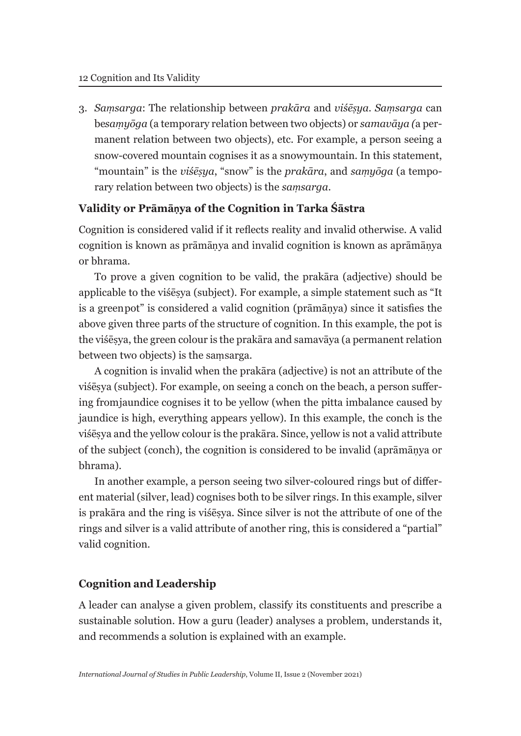3. *Saṃsarga*: The relationship between *prakāra* and *viśēṣya*. *Saṃsarga* can be *saṃyōga* (a temporary relation between two objects) or *samavāya (*a permanent relation between two objects), etc. For example, a person seeing a snow-covered mountain cognises it as a snowy mountain. In this statement, "mountain" is the *viśēṣya*, "snow" is the *prakāra*, and *saṃyōga* (a temporary relation between two objects) is the *saṃsarga*.

### **Validity or Prāmāṇya of the Cognition in Tarka Śāstra**

Cognition is considered valid if it reflects reality and invalid otherwise. A valid cognition is known as prāmāṇya and invalid cognition is known as aprāmāṇya or bhrama.

To prove a given cognition to be valid, the prakāra (adjective) should be applicable to the viśēṣya (subject). For example, a simple statement such as "It is a green pot" is considered a valid cognition (prāmāṇya) since it satisfies the above given three parts of the structure of cognition. In this example, the pot is the viśēṣya, the green colour is the prakāra and samavāya (a permanent relation between two objects) is the saṃsarga.

A cognition is invalid when the prakāra (adjective) is not an attribute of the viśēṣya (subject). For example, on seeing a conch on the beach, a person suffering from jaundice cognises it to be yellow (when the pitta imbalance caused by jaundice is high, everything appears yellow). In this example, the conch is the viśēṣya and the yellow colour is the prakāra. Since, yellow is not a valid attribute of the subject (conch), the cognition is considered to be invalid (aprāmāṇya or bhrama).

In another example, a person seeing two silver-coloured rings but of different material (silver, lead) cognises both to be silver rings. In this example, silver is prakāra and the ring is viśēṣya. Since silver is not the attribute of one of the rings and silver is a valid attribute of another ring, this is considered a "partial" valid cognition.

### **Cognition and Leadership**

A leader can analyse a given problem, classify its constituents and prescribe a sustainable solution. How a guru (leader) analyses a problem, understands it, and recommends a solution is explained with an example.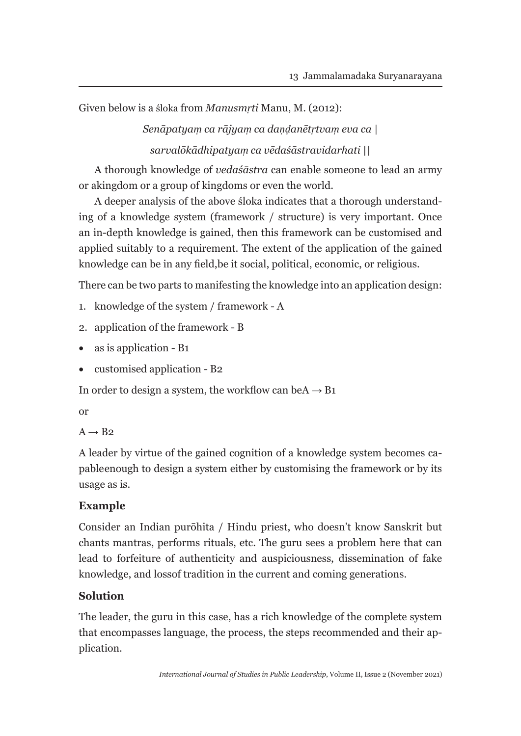Given below is a śloka from *Manusmṛti* Manu, M. (2012):

*Senāpatyaṃ ca rājyaṃ ca daṇḍanētṛtvaṃ eva ca | sarvalōkādhipatyaṃ ca vēdaśāstravidarhati ||*

A thorough knowledge of *vedaśāstra* can enable someone to lead an army or akingdom or a group of kingdoms or even the world.

A deeper analysis of the above śloka indicates that a thorough understanding of a knowledge system (framework / structure) is very important. Once an in-depth knowledge is gained, then this framework can be customised and applied suitably to a requirement. The extent of the application of the gained knowledge can be in any field, be it social, political, economic, or religious.

There can be two parts to manifesting the knowledge into an application design:

- 1. knowledge of the system / framework A
- 2. application of the framework B
- as is application B1
- customised application B2

In order to design a system, the workflow can be  $A \rightarrow B1$ 

or

 $A \rightarrow B2$ 

A leader by virtue of the gained cognition of a knowledge system becomes capable enough to design a system either by customising the framework or by its usage as is.

# **Example**

Consider an Indian purōhita / Hindu priest, who doesn't know Sanskrit but chants mantras, performs rituals, etc. The guru sees a problem here that can lead to forfeiture of authenticity and auspiciousness, dissemination of fake knowledge, and loss of tradition in the current and coming generations.

# **Solution**

The leader, the guru in this case, has a rich knowledge of the complete system that encompasses language, the process, the steps recommended and their application.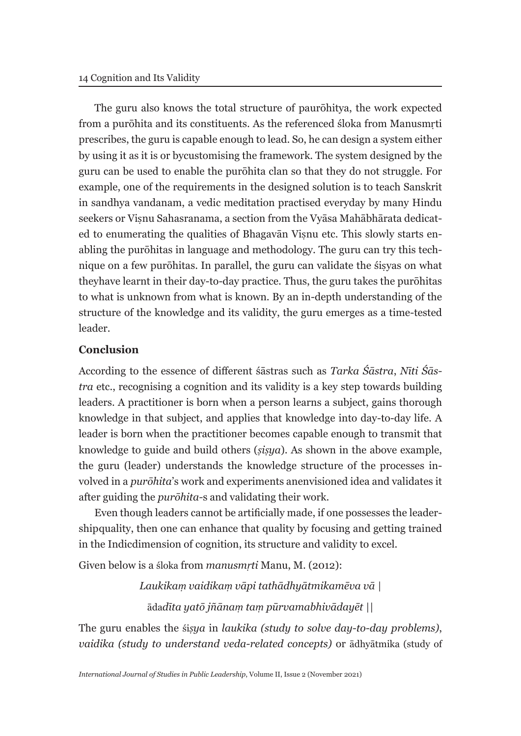The guru also knows the total structure of paurōhitya, the work expected from a purōhita and its constituents. As the referenced śloka from Manusmṛti prescribes, the guru is capable enough to lead. So, he can design a system either by using it as it is or by customising the framework. The system designed by the guru can be used to enable the purōhita clan so that they do not struggle. For example, one of the requirements in the designed solution is to teach Sanskrit in sandhya vandanam, a vedic meditation practised everyday by many Hindu seekers or Viṣnu Sahasranama, a section from the Vyāsa Mahābhārata dedicated to enumerating the qualities of Bhagavan Visnu etc. This slowly starts enabling the purōhitas in language and methodology. The guru can try this technique on a few purōhitas. In parallel, the guru can validate the śiṣyas on what they have learnt in their day-to-day practice. Thus, the guru takes the purōhitas to what is unknown from what is known. By an in-depth understanding of the structure of the knowledge and its validity, the guru emerges as a time-tested leader.

#### **Conclusion**

According to the essence of different śāstras such as *Tarka Śāstra*, *Nīti Śāstra* etc., recognising a cognition and its validity is a key step towards building leaders. A practitioner is born when a person learns a subject, gains thorough knowledge in that subject, and applies that knowledge into day-to-day life. A leader is born when the practitioner becomes capable enough to transmit that knowledge to guide and build others (*ṣiṣya*). As shown in the above example, the guru (leader) understands the knowledge structure of the processes involved in a *purōhita*'s work and experiments anenvisioned idea and validates it after guiding the *purōhita-*s and validating their work.

Even though leaders cannot be artificially made, if one possesses the leadership quality, then one can enhance that quality by focusing and getting trained in the Indic dimension of cognition, its structure and validity to excel.

Given below is a śloka from *manusmṛti* Manu, M. (2012):

*Laukikaṃ vaidikaṃ vāpi tathādhyātmikamēva vā |*  āda*dīta yatō jñānaṃ taṃ pūrvamabhivādayēt ||*

The guru enables the śi*ṣya* in *laukika (study to solve day-to-day problems)*, *vaidika (study to understand veda-related concepts)* or ādhyātmika (study of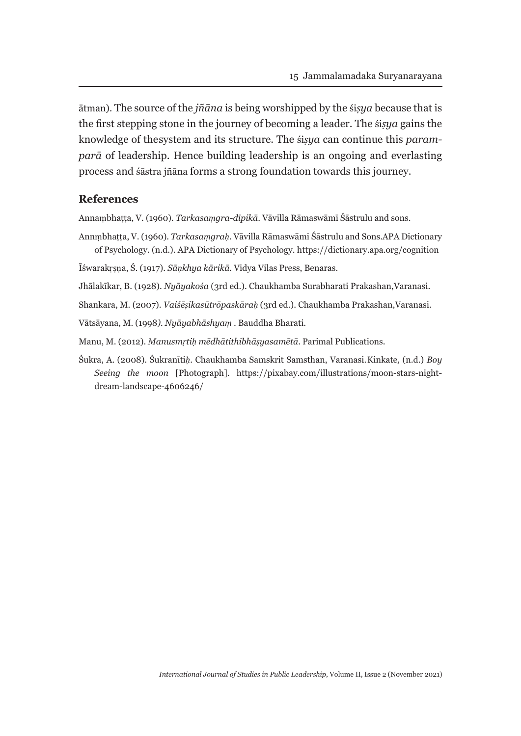ātman). The source of the *jñāna* is being worshipped by the śi*ṣya* because that is the first stepping stone in the journey of becoming a leader. The śi*ṣya* gains the knowledge of the system and its structure. The śi*ṣya* can continue this *paramparā* of leadership. Hence building leadership is an ongoing and everlasting process and śāstra jñāna forms a strong foundation towards this journey.

#### **References**

Annaṃbhaṭṭa, V. (1960). *Tarkasaṃgra-dīpikā*. Vāvilla Rāmaswāmī Śāstrulu and sons.

Annṃbhaṭṭa, V. (1960). *Tarkasaṃgraḥ*. Vāvilla Rāmaswāmi Śāstrulu and Sons. APA Dictionary of Psychology. (n.d.). APA Dictionary of Psychology. https://dictionary.apa.org/cognition

Īśwarakṛṣṇa, Ś. (1917). *Sāṇkhya kārikā*. Vidya Vilas Press, Benaras.

Jhālakīkar, B. (1928). *Nyāyakośa* (3rd ed.). Chaukhamba Surabharati Prakashan, Varanasi.

Shankara, M. (2007). *Vaiśēṣikasūtrōpaskāraḥ* (3rd ed.). Chaukhamba Prakashan, Varanasi.

Vātsāyana, M. (1998*). Nyāyabhāshyaṃ* . Bauddha Bharati.

Manu, M. (2012). *Manusmṛtiḥ mēdhātithibhāṣyasamētā*. Parimal Publications.

Śukra, A. (2008). Śukranīti*ḥ*. Chaukhamba Samskrit Samsthan, Varanasi. Kinkate*,* (n.d.) *Boy Seeing the moon* [Photograph]. https://pixabay.com/illustrations/moon-stars-nightdream-landscape-4606246/